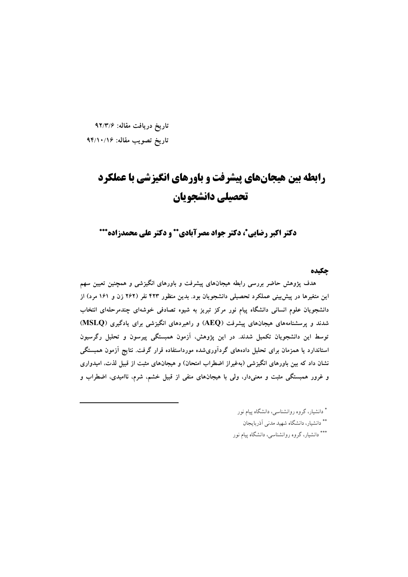تاريخ دريافت مقاله: ۹۲/۳/۶

تاريخ تصويب مقاله: ٩۴/١٠/١۶

# رابطه بین هیجانهای پیشرفت و باورهای انگیزشی با عملکرد تحصيلي دانشجويان

دکتر اکبر رضایی\*، دکتر جواد مصرآبادی\*\* و دکتر علی محمدزاده\*\*\*

حكىده

هدف پژوهش حاضر بررسی رابطه هیجانهای پیشرفت و باورهای انگیزشی و همچنین تعیین سهم این متغیرها در پیش بینی عملکرد تحصیلی دانشجویان بود. بدین منظور ۴۲۳ نفر (۲۶۲ زن و ۱۶۱ مرد) از دانشجویان علوم انسانی دانشگاه پیام نور مرکز تبریز به شیوه تصادفی خوشهای چندمرحلهای انتخاب شدند و پرسشنامههای هیجانهای پیشرفت (AEQ) و راهبردهای انگیزشی برای یادگیری (MSLQ) توسط این دانشجویان تکمیل شدند. در این پژوهش، آزمون همبستگی پیرسون و تحلیل رگرسیون استاندارد یا همزمان برای تحلیل دادههای گردآوریشده مورداستفاده قرار گرفت. نتایج آزمون همبستگی نشان داد که بین باورهای انگیزشی (بهغیراز اضطراب امتحان) و هیجانهای مثبت از قبیل لذت، امیدواری و غرور همبستگی مثبت و معنیدار، ولی با هیجانهای منفی از قبیل خشم، شرم، ناامیدی، اضطراب و

> \* دانشیار، گروه روانشناسی، دانشگاه پیام نور \*\* دانشیار، دانشگاه شهید مدنی آذربایجان \*\*\* دانشیار، گروه روانشناسی، دانشگاه پیام نور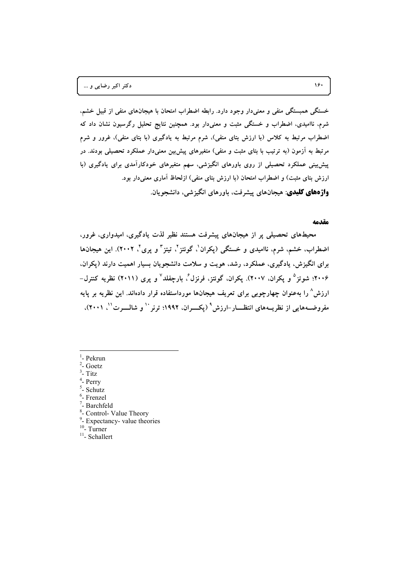خستگی همبستگی منفی و معنیدار وجود دارد. رابطه اضطراب امتحان با هیجانهای منفی از قبیل خشم، شرم، ناامیدی، اضطراب و خستگی مثبت و معنیدار بود. همچنین نتایج تحلیل رگرسیون نشان داد که اضطراب مرتبط به کلاس (با ارزش بتای منفی). شرم مرتبط به یادگیری (با بتای منفی). غرور و شرم مرتبط به ازمون (به ترتیب با بتای مثبت و منفی) متغیرهای پیشبین معنیدار عملکرد تحصیلی بودند. در **پ**شبینی عملکرد تحصیلی از روی باورهای انگیزشی، سهم متغیرهای خودکارامدی برای یادگیری (با **.% (&65 -Q ]<C( (&A6 -:% \C ( %) )<:( L('( (GX -:% \C ( واژههای کلیدی**: هیجانهای پیشرفت، باورهای انگیزشی، دانشجویان.

#### **مقدمه**

محیطهای تحصیلی پر از هیجانهای پیشرفت هستند نظیر لذت یادگیری، امیدواری، غرور، اضطراب، خشم، شرم، ناامیدی و خستگی (پکران<sup>'</sup>، گوئتز<sup>''</sup>، تیتز<sup>''</sup> و پری''، ۲۰۰۲). این هیجانها برای انگیزش، یادگیری، عملکرد، رشد، هویت و سلامت دانشجویان بسیار اهمیت دارند (پکران. **1
0 \_2006 <sup>5</sup> b1/ R1:^N R)(=! .(2007 R)(=! <sup>6</sup> #;AK % R <sup>7</sup> -b:6H - @/ (2011) -!** ارزش<sup>^</sup> را بهعنوان چهارچوبی برای تعریف هیجانها مورداستفاده قرار دادهاند. این نظریه بر پایه مفروضــههایی از نظریــههای انتظــــار–ارزش° (پکــــران، ۱۹۹۲؛ ترنر `` و شالـــــرت ``، ۲۰۰۱)،

- <sup>1</sup>- Pekrun  $2 \text{ C}$
- $2$  Goetz
- $3$  Titz
- <sup>1</sup>- Perry
- $\overline{\phantom{a}}$  Schutz
- <sup>6</sup>- Frenzel
- $7 -$ Barchfeld
- <sup>8</sup>- Control- Value Theory
- $^{9}$  Expectancy- value theories <sup>10</sup>- Turner <sup>11</sup>- Schallert
- 
-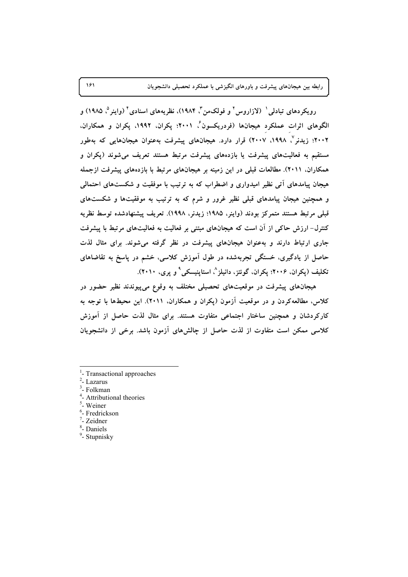رویکردهای تبادلی ` (لازاروس ` و فولکمن ّ، ۱۹۸۴)، نظریههای اسنادی ٔ (واینر °، ۱۹۸۵) و الگوهای اثرات عملکرد هیجانها (فردریکسون ٔ، ۲۰۰۱؛ یکران، ۱۹۹۲، پکران و همکاران، ۲۰۰۲؛ زیدنر<sup>۷</sup>، ۱۹۹۸، ۲۰۰۷) قرار دارد. هیجانهای پیشرفت بهعنوان هیجانهایی که بهطور مستقیم به فعالیتهای پیشرفت یا بازدههای پیشرفت مرتبط هستند تعریف می شوند (پکران و همکاران، ۲۰۱۱). مطالعات قبلی در این زمینه بر هیجانهای مرتبط با بازدههای پیشرفت ازجمله هیجان ییامدهای آتی نظیر امیدواری و اضطراب که به ترتیب با موفقیت و شکستهای احتمالی و همچنین هیجان پیامدهای قبلی نظیر غرور و شرم که به ترتیب به موفقیتها و شکستهای قبلي مرتبط هستند متمركز بودند (واينر، ١٩٨٥؛ زيدنر، ١٩٩٨). تعريف ييشنهادشده توسط نظريه کنترل- ارزش حاکی از آن است که هیجانهای مبتنی بر فعالیت به فعالیتهای مرتبط با پیشرفت جاری ارتباط دارند و بهعنوان هیجانهای پیشرفت در نظر گرفته می شوند. برای مثال لذت حاصل از یادگیری، خستگی تجربهشده در طول آموزش کلاسی، خشم در پاسخ به تقاضاهای تکلیف (یکران، ۲۰۰۶؛ یکران، گوئتز، دانیلز^، استاینیسکی ْ و پری، ۲۰۱۰).

هیجانهای پیشرفت در موقعیتهای تحصیلی مختلف به وقوع میپیوندند نظیر حضور در کلاس، مطالعهکردن و در موقعیت آزمون (پکران و همکاران. ۲۰۱۱). این محیطها با توجه به کارکردشان و همچنین ساختار اجتماعی متفاوت هستند. برای مثال لذت حاصل از آموزش كلاسى ممكن است متفاوت از لذت حاصل از چالشهاى آزمون باشد. برخى از دانشجويان

- <sup>1</sup>- Transactional approaches
- $2$  Lazarus
- $3$  Folkman
- <sup>4</sup>- Attributional theories
- <sup>5</sup>- Weiner
- <sup>6</sup>- Fredrickson
- $\sqrt{2}$  Zeidner
- <sup>8</sup>- Daniels
- $9$  Stupnisky

181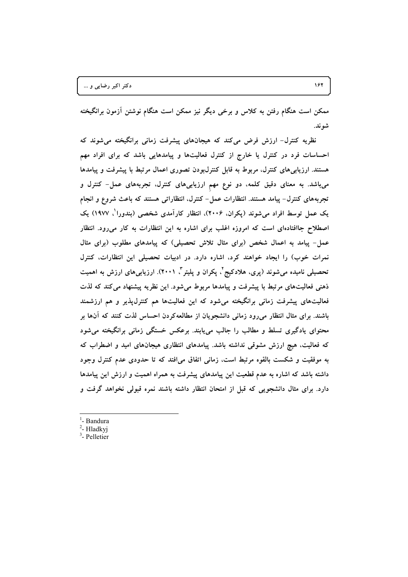ممکن است هنگام رفتن به کلاس و برخی دیگر نیز ممکن است هنگام نوشتن ازمون برانگیخته **.#/0**

نظریه کنترل– ارزش فرض میکند که هیجانهای پیشرفت زمانی برانگیخته میشوند که احساسات فرد در کنترل یا خارج از کنترل فعالیتها و پیامدهایی باشد که برای افراد مهم هستند. ارزیابیهای کنترل، مربوط به قابل کنترل $\psi$ بودن تصوری اعمال مرتبط با پیشرفت و پیامدها میباشد. به معنای دقیق کلمه، دو نوع مهم ارزیابیهای کنترل، تجربههای عمل– کنترل و تجربههای کنترل– پیامد هستند. انتظارات عمل– کنترل، انتظاراتی هستند که باعث شروع و انجام یک عمل توسط افراد میشوند (پکران، ۲۰۰۶)، انتظار کارآمدی شخصی (بندورا<sup>'</sup>، ۱۹۷۷) یک اصطلاح جاافتادهای است که امروزه اغلب برای اشاره به این انتظارات به کار میرود. انتظار عمل– پیامد به اعمال شخص (برای مثال تلاش تحصیلی) که پیامدهای مطلوب (برای مثال نمرات خوب) را ایجاد خواهند کرد، اشاره دارد. در ادبیات تحصیلی این انتظارات، کنترل تحصیلی نامیده میشوند (پری، هلادکیج<sup>۲</sup>، پکران و پلیتر<sup>۳</sup>، ۲۰۰۱). ارزیابی۵ای ارزش به اهمیت ذهنی فعالیتهای مرتبط با پیشرفت و پیامدها مربوط میشود. این نظریه پیشنهاد می کند که لذت فعالیتهای پیشرفت زمانی برانگیخته میشود که این فعالیتها هم کنترل $\mu$ نیر و هم ارزشمند **% )Q -H #66H VW ZJ( )H-5' C( ) \*,/( &/C & @:/( bX -(% .#60%** محتوای یادگیری تسلط و مطالب را جالب میbبابند. برعکس خستگی زمانی برانگیخته میشود که فعالیت، هیچ ارزش مشوقی نداشته باشد. پیامدهای انتظاری هیجانهای امید و اضطراب که **Y b:6H I#> -# -H #:(& yA
( &/C R\$( PG F% J=0 + -%** داشته باشد که اشاره به عدم قطعیت این پیامدهای پیشرفت به همراه اهمیت و ارزش این پیامدها دارد. برای مثال دانشجویی که قبل از امتحان انتظار داشته باشند نمره قبولی نخواهد گرفت و

- <sup>1</sup>- Bandura
- $2$  Hladkyj
- $3$  Pelletier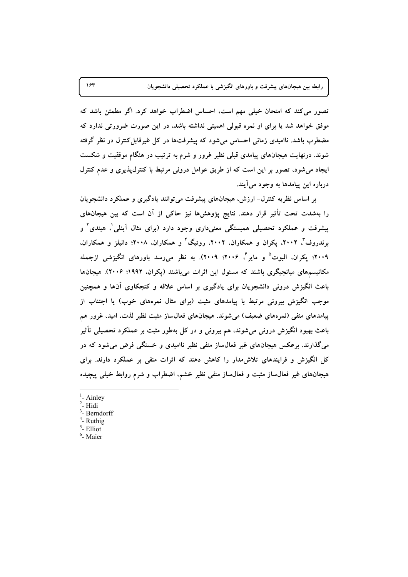تصور می کند که امتحان خیلی مهم است، احساس اضطراب خواهد کرد. اگر مطمئن باشد که موفق خواهد شد یا برای او نمره قبولی اهمیتی نداشته باشد، در این صورت ضرورتی ندارد که مضطرب باشد. ناامیدی زمانی احساس میشود که پیشرفتها در کل غیرقابل کنترل در نظر گرفته شوند. درنهایت هیجانهای پیامدی قبلی نظیر غرور و شرم به ترتیب در هنگام موفقیت و شکست ایجاد می شود، تصور بر این است که از طریق عوامل درونی مرتبط با کنترل پذیری و عدم کنترل درباره اين پيامدها به وجود مي آيند.

بر اساس نظریه کنترل- ارزش، هیجانهای پیشرفت می توانند یادگیری و عملکرد دانشجویان را بهشدت تحت تأثیر قرار دهند. نتایج پژوهشها نیز حاکی از آن است که بین هیجانهای پیشرفت و عملکرد تحصیلی همبستگی معنیداری وجود دارد (برای مثال اَینلی'، هیندی' و برندروف"، ۲۰۰۲، یکران و همکاران، ۲۰۰۲، روتیگ ٔ و همکاران، ۲۰۰۸؛ دانیلز و همکاران، ۲۰۰۹؛ یکران، الیوت<sup>۵</sup> و مایر<sup>م م</sup> ۲۰۰۶؛ ۲۰۰۹). به نظر میرسد باورهای انگیزشی ازجمله مکانیسمهای میانجیگری باشند که مسئول این اثرات میباشند (یکران، ۱۹۹۲؛ ۲۰۰۶). هیجانها باعث انگیزش درونی دانشجویان برای یادگیری بر اساس علاقه و کنجکاوی آنها و همچنین موجب انگیزش بیرونی مرتبط با پیامدهای مثبت (برای مثال نمرههای خوب) یا اجتناب از پیامدهای منفی (نمرههای ضعیف) میشوند. هیجانهای فعال ساز مثبت نظیر لذت، امید، غرور هم باعث بهبود انگیزش درونی میشوند، هم بیرونی و در کل بهطور مثبت بر عملکرد تحصیلی تأثیر میگذارند. برعکس هیجانهای غیر فعال ساز منفی نظیر ناامیدی و خستگی فرض می شود که در کل انگیزش و فرایندهای تلاش مدار را کاهش دهند که اثرات منفی بر عملکرد دارند. برای هیجانهای غیر فعالساز مثبت و فعال ساز منفی نظیر خشم، اضطراب و شرم روابط خیلی پیچیده

- $<sup>1</sup>$  Ainley</sup>
- $2$  Hidi
- $3$  Berndorff
- <sup>4</sup>- Ruthig
- $<sup>5</sup>$  Elliot</sup>  $<sup>6</sup>$ - Maier</sup>

۱۶۳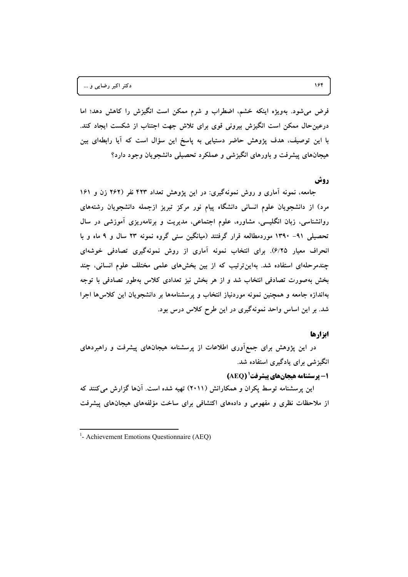فرض میشود. بهویژه اینکه خشم، اضطراب و شرم ممکن است انگیزش را کاهش دهد؛ اما درعین حال ممکن است انگیزش بیرونی قوی برای تلاش جهت اجتناب از شکست ایجاد کند. با این توصیف، هدف پژوهش حاضر دستیابی به پاسخ این سؤال است که ایا رابطهای بین هیجانهای پیشرفت و باورهای انگیزشی و عملکرد تحصیلی دانشجویان وجود دارد؟

### **روش**

جامعه، نمونه اماری و روش نمونهگیری: در این پژوهش تعداد ۴۲۳ نفر (۲۶۲ زن و ۱۶۱ مرد) از دانشجویان علوم انسانی دانشگاه پیام نور مرکز تبریز ازجمله دانشجویان رشتههای روانشناسی، زبان انگلیسی، مشاوره، علوم اجتماعی، مدیریت و برنامهریزی اموزشی در سال **% F 9 b\$ 23 -/8/ FN &6\$ 4+./+) #6:N (S -5' 1390 -91 &;+<**  انحراف معیار ۶/۲۵). برای انتخاب نمونه اماری از روش نمونهگیری تصادفی خوشهای چندمرحلهای استفاده شد. بهاینترتیب که از بین بخشهای علمی مختلف علوم انسانی، چند بخش بهصورت تصادفی انتخاب شد و از هر بخش نیز تعدادی کلاس بهطور تصادفی با توجه **»اندازه جامعه و همچنین نمونه موردنیاز انتخاب و پرسشنامهها بر دانشجویان این کلاس۵ها اجرا % .% Z Z[H tk 4 ( -+N-/8/ #( Z\$( 4 ( % .#0**

### **ابزارها**

در این پژوهش برای جمع۱وری اطلاعات از پرسشنامه هیجانهای پیشرفت و راهبردهای **.#0 FA:\$( -+N -(% &01+./(**

**1- پرسشنامه هیجانهای پیشرفت (AEQ)** 

این پرسشنامه توسط پکران و همکارانش (۲۰۱۱) تهیه شده است. انها گزارش میکنند که از ملاحظات نظری و مفهومی و دادههای اکتشافی برای ساخت مؤلفههای هیجانهای پیشرفت

<sup>&</sup>lt;sup>1</sup>- Achievement Emotions Questionnaire (AEQ)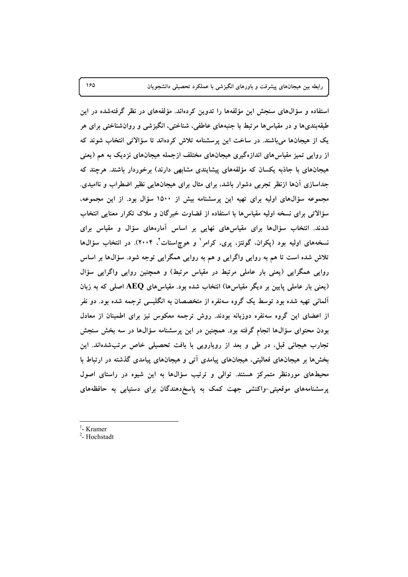استفاده و سؤالهای سنجش این مؤلفهها را تدوین کردهاند. مؤلفههای در نظر گرفتهشده در این طبقهبندیها و در مقیاسها مرتبط با جنبههای عاطفی، شناختی، انگیزشی و روانشناختی برای هر یک از هیجانها میباشند. در ساخت این پرسشنامه تلاش کردهاند تا سؤالاتی انتخاب شوند که از روایی تمیز مقیاس های اندازهگیری هیجانهای مختلف ازجمله هیجانهای نزدیک به هم (یعنی هیجانهای با جاذبه یکسان که مؤلفههای پیشایندی مشابهی دارند) برخوردار باشند. هرچند که جداسازی آنها ازنظر تجربی دشوار باشد، برای مثال برای هیجانهایی نظیر اضطراب و ناامیدی. مجموعه سؤالهای اولیه برای تهیه این پرسشنامه بیش از ۱۵۰۰ سؤال بود. از این مجموعه، سؤالاتی برای نسخه اولیه مقیاسها با استفاده از قضاوت خبرگان و ملاک تکرار معنایی انتخاب شدند. انتخاب سؤالها برای مقیاسهای نهایی بر اساس آمارههای سؤال و مقیاس برای نسخههای اولیه بود (پکران، گوئتز، پری، کرامر<sup>۱</sup> و هوچاستات<sup>۲</sup>، ۲۰۰۴). در انتخاب سؤالها تلاش شده است تا هم به روایی واگرایی و هم به روایی همگرایی توجه شود. سؤالها بر اساس روایی همگرایی (یعنی بار عاملی مرتبط در مقیاس مرتبط) و همچنین روایی واگرایی سؤال (یعنی بار عاملی پایین بر دیگر مقیاسها) انتخاب شده بود. مقیاسهای AEQ اصلی که به زبان آلمانی تهیه شده بود توسط یک گروه سهنفره از متخصصان به انگلیسی ترجمه شده بود. دو نفر از اعضای این گروه سهنفره دوزبانه بودند. روش ترجمه معکوس نیز برای اطمینان از معادل بودن محتوای سؤالها انجام گرفته بود. همچنین در این پرسشنامه سؤالها در سه بخش سنجش تجارب هیجانی قبل، در طی و بعد از رویارویی با بافت تحصیلی خاص مرتبشدهاند. این بخشها بر هیجانهای فعالیتی، هیجانهای پیامدی آتی و هیجانهای پیامدی گذشته در ارتباط با محیطهای موردنظر متمرکز هستند. توالی و ترتیب سؤالها به این شیوه در راستای اصول پرسشنامههای موقعیتی-واکنشی جهت کمک به پاسخ دهندگان برای دستیابی به حافظههای

- $<sup>1</sup>$  Kramer</sup>
- <sup>2</sup>- Hochstadt

١۶۵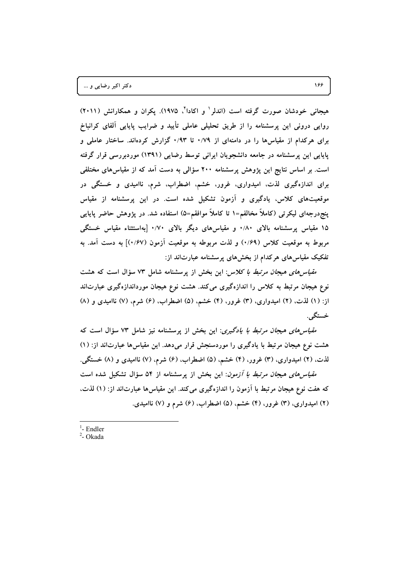هیجانی خودشان صورت گرفته است (اندلر<sup>۱</sup> و اکادا<sup>۲</sup>، ۱۹۷۵). پکران و همکارانش (۲۰۱۱) روایی درونی این پرسشنامه را از طریق تحلیلی عاملی تأیید و ضرایب پایایی آلفای کرانباخ برای هرکدام از مقیاس ها را در دامنهای از ۰/۷۹ تا ۰/۹۳ گزارش کردهاند. ساختار عاملی و پایایی این پرسشنامه در جامعه دانشجویان ایرانی توسط رضایی (۱۳۹۱) موردبررسی قرار گرفته است. بر اساس نتایج این یژوهش پرسشنامه ۲۰۰ سؤالی به دست آمد که از مقیاس های مختلفی برای اندازهگیری لذت، امیدواری، غرور، خشم، اضطراب، شرم، ناامیدی و خستگی در موقعیتهای کلاس، یادگیری و آزمون تشکیل شده است. در این پرسشنامه از مقیاس پنج،درجهای لیکرتبی (کاملاً مخالفم=۱ تا کاملاً موافقم=۵) استفاده شد. در پژوهش حاضر پایایی ۱۵ مقیاس پرسشنامه بالای ۰/۸۰ و مقیاسهای دیگر بالای ۰/۷۰ [بهاستثناء مقیاس خستگی مربوط به موقعیت کلاس (۰/۶۹) و لذت مربوطه به موقعیت أزمون (۰/۶۷) به دست أمد. به تفکیک مقیاسهای هرکدام از بخشهای پرسشنامه عبارتاند از:

*مقیاس های هیجان مرتبط با کلاس*: این بخش از پرسشنامه شامل ۷۳ سؤال است که هشت نوع هیجان مرتبط به کلاس را اندازهگیری میکند. هشت نوع هیجان مورداندازهگیری عبارتاند از: (۱) لذت، (۲) امیدواری، (۳) غرور، (۴) خشم، (۵) اضطراب، (۶) شرم، (۷) ناامیدی و (۸) خستگے ِ.

*مقیاس های هیجان مرتبط با یادگیری*: این بخش از پرسشنامه نیز شامل ۷۳ سؤال است که هشت نوع هیجان مرتبط با یادگیری را موردسنجش قرار میدهد. این مقیاسها عبارتاند از: (۱) لذت. (۲) امیدواری، (۳) غرور، (۴) خشم. (۵) اضطراب. (۶) شرم. (۷) ناامیدی و (۸) خستگی.

*مقیاس های هیجان مرتبط با آزمون*: این بخش از پرسشنامه از ۵۴ سؤال تشکیل شده است که هفت نوع هیجان مرتبط با آزمون را اندازهگیری میکند. این مقیاسها عبارتاند از: (۱) لذت، (۲) امیدواری، (۳) غرور، (۴) خشم. (۵) اضطراب، (۶) شرم و (۷) ناامیدی.

 $<sup>1</sup>$ - Endler</sup>  $2$ - Okada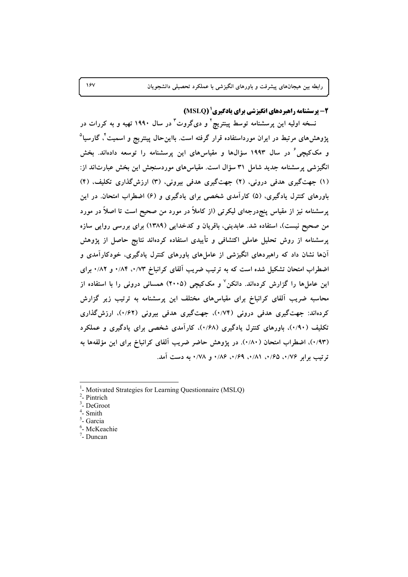2- برسشنامه راهیردهای انگیزشی برای یادگیری ( MSLQ)

نسخه اولیه این پرسشنامه توسط پینتریچ<sup>۲</sup> و دیگروت<sup>۳</sup> در سال ۱۹۹۰ تهیه و به کررات در پژوهشهای مرتبط در ایران مورداستفاده قرار گرفته است. بااینحال پینتریج و اسمیت<sup>۲</sup>، گارسیا<sup>0</sup> و مککیچی ٔ در سال ۱۹۹۳ سؤالها و مقیاسهای این پرسشنامه را توسعه دادهاند. بخش انگیزشی پرسشنامه جدید شامل ۳۱ سؤال است. مقیاسهای موردسنجش این بخش عبارتاند از: (۱) جهت گیری هدفی درونی، (۲) جهت گیری هدفی بیرونی، (۳) ارزش گذاری تکلیف، (۴) باورهای کنترل یادگیری، (۵) کارآمدی شخصی برای یادگیری و (۶) اضطراب امتحان. در این پرسشنامه نیز از مقیاس پنج٫درجهای لیکرتمی (از کاملاً در مورد من صحیح است تا اصلاً در مورد من صحیح نیست)، استفاده شد. عابدینی، باقریان و کدخدایی (۱۳۸۹) برای بررسی روایی سازه پرسشنامه از روش تحلیل عاملی اکتشافی و تأییدی استفاده کردهاند نتایج حاصل از پژوهش آنها نشان داد که راهبردهای انگیزشی از عاملهای باورهای کنترل یادگیری، خودکارآمدی و اضطراب امتحان تشکیل شده است که به ترتیب ضریب آلفای کرانباخ ۰/۸۴ ۰/۷۳ و ۰/۸۲ برای این عاملها را گزارش کردهاند. دانکن<sup>۷</sup> و مککیچی (۲۰۰۵) همسانی درونی را با استفاده از محاسبه ضریب آلفای کرانباخ برای مقیاسهای مختلف این پرسشنامه به ترتیب زیر گزارش کردهاند: جهت گیری هدفی درونی (۱/۷۴)، جهت گیری هدفی بیرونی (۱/۶۲)، ارزش گذاری تکلیف (۰/۹۰)، باورهای کنترل یادگیری (۰/۶۸)، کارآمدی شخصی برای یادگیری و عملکرد (۰/۹۳)، اضطراب امتحان (۰/۸۰). در پژوهش حاضر ضریب آلفای کرانباخ برای این مؤلفهها به ترتيب برابر ٠/٧۶، ٠/٤٥، ١/٨١، ٠/٤٩، ٠/٨٤، و ٧٨/٠ به دست آمد.

 $2$ - Pintrich

- <sup>4</sup>- Smith
- <sup>5</sup>- Garcia
- <sup>6</sup>- McKeachie
- $7$  Duncan

 $15V$ 

<sup>&</sup>lt;sup>1</sup>- Motivated Strategies for Learning Questionnaire (MSLQ)

 $3$ - DeGroot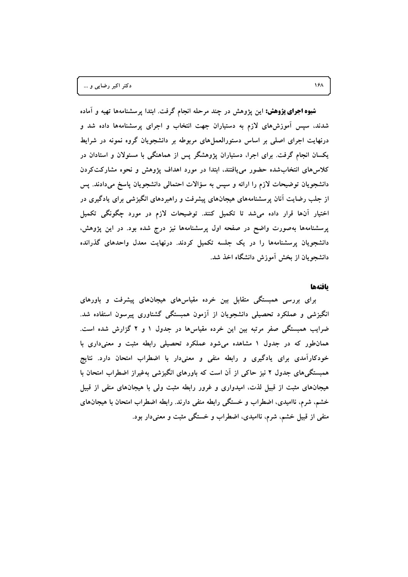**شیوه اجرای پژوهش:** این پژوهش در چند مرحله انجام گرفت. ابتدا پرسشنامهها تهیه و آماده شدند. سپس آموزشهای لازم به دستیاران جهت انتخاب و اجرای پرسشنامهها داده شد و درنهایت اجرای اصلی بر اساس دستورالعملهای مربوطه بر دانشجویان گروه نمونه در شرایط یکسان انجام گرفت. برای اجرا، دستیاران پژوهشگر پس از هماهنگی با مسئولان و استادان در کلاس های انتخاب شده حضور می یافتند، ابتدا در مورد اهداف پژوهش و نحوه مشارکتکردن دانشجویان توضیحات لازم را ارائه و سپس به سؤالات احتمالی دانشجویان پاسخ میدادند. پس از جلب رضایت آنان پرسشنامههای هیجانهای پیشرفت و راهبردهای انگیزشی برای یادگیری در اختیار آنها قرار داده می شد تا تکمیل کنند. توضیحات لازم در مورد چگونگی تکمیل پرسشنامهها بهصورت واضح در صفحه اول پرسشنامهها نیز درج شده بود. در این پژوهش، دانشجویان پرسشنامهها را در یک جلسه تکمیل کردند. درنهایت معدل واحدهای گذرانده دانشجویان از بخش آموزش دانشگاه اخذ شد.

#### بافتهها

برای بررسی همبستگی متقابل بین خرده مقیاسهای هیجانهای پیشرفت و باورهای انگیزشی و عملکرد تحصیلی دانشجویان از آزمون همبستگی گشتاوری پیرسون استفاده شد. ضرایب همبستگی صفر مرتبه بین این خرده مقیاسها در جدول ۱ و ۲ گزارش شده است. همانطور که در جدول ۱ مشاهده میشود عملکرد تحصیلی رابطه مثبت و معنیداری با خودکارآمدی برای یادگیری و رابطه منفی و معنیدار با اضطراب امتحان دارد. نتایج همبستگیهای جدول ۲ نیز حاکی از آن است که باورهای انگیزشی بهغیراز اضطراب امتحان با هیجانهای مثبت از قبیل لذت، امیدواری و غرور رابطه مثبت ولی با هیجانهای منفی از قبیل خشم، شرم، ناامیدی، اضطراب و خستگی رابطه منفی دارند. رابطه اضطراب امتحان با هیجانهای منفی از قبیل خشم، شرم، ناامیدی، اضطراب و خستگی مثبت و معنیدار بود.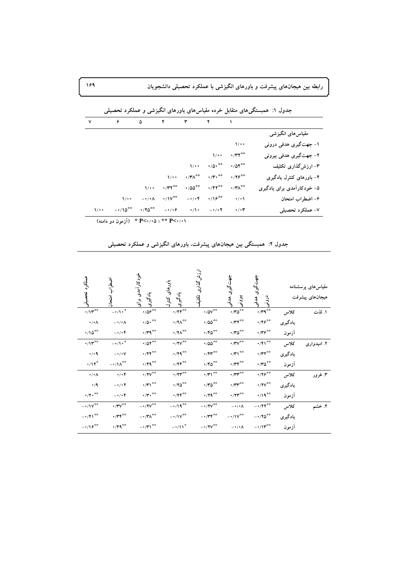رابطه بین هیجانهای پیشرفت و باورهای انگیزشی با عملکرد تحصیلی دانشجویان

|                            |                                 |                        |                        |                          |                                        | $\epsilon$           | ٧                    |
|----------------------------|---------------------------------|------------------------|------------------------|--------------------------|----------------------------------------|----------------------|----------------------|
| مقیاس های انگیزشی          |                                 |                        |                        |                          |                                        |                      |                      |
| ۱- جهت گیری هدفی درونی     | $\sqrt{\cdot \cdot}$            |                        |                        |                          |                                        |                      |                      |
| ۲- جهت گیری هدفی بیرونی    | $\cdot$ /۳۲**                   | $\sqrt{\cdot \cdot}$   |                        |                          |                                        |                      |                      |
| ۳- ارزشگذاری تکلیف         | $\cdot$ /0۴**                   | $\cdot/\Delta\cdot$ ** | $\sqrt{\cdot \cdot}$   |                          |                                        |                      |                      |
| ۴– باورهای کنترل یادگیری   | $\cdot$ / $\gamma$ $\varphi$ ** | $\cdot$ /۳ $\cdot$ **  | $\cdot$ /۳ $\wedge$ ** | $\sqrt{\cdot \cdot}$     |                                        |                      |                      |
| ۵– خودکارآمدی برای یادگیری | $\cdot$ /۳ $\wedge^{\ast\ast}$  | $\cdot$ /۴۲**          | $\cdot$ /00**          | $\cdot$ /۳۲**            | $\sqrt{\cdot \cdot}$                   |                      |                      |
| ۶- اضطراب امتحان           | $\cdot$ / $\cdot$               | $\cdot$ /18**          | $-\cdot/\cdot f$       | $\cdot/\mathsf{IV}^{**}$ | $-\cdot/\cdot \Lambda$                 | $\sqrt{\cdot \cdot}$ |                      |
| ۷- عملکرد تحصیلی           | $\cdot$ / $\cdot$ r             | $-1/17$                | $\cdot/\cdot$          | $-\cdot/\cdot$ ۶         | $\cdot$ / $\mathbf{Y} \mathbf{0}^{**}$ | $-110^{**}$          | $\sqrt{\cdot \cdot}$ |

| ۰/۰۱° : ۳۵/۰۵' + P * (آزمون دو دامنه) |  |  |
|---------------------------------------|--|--|
|---------------------------------------|--|--|

| عملكرد                                     | آوٽولن                                  | خودکارآمدی برای<br>يادگيری                                                                                                      | باورهای<br>یادگیری<br>کنترل                                                                             | ارزش گذاری<br>تكلية                                                                                             | جهت گیری هدفو<br>پيوٽي                                                                             | جهت گیری<br>ِ<br>وګونۍ<br>درونی                                                                                                                                         |         | مقیاسهای پرسشنامه<br>هيجانهاى پيشرفت |
|--------------------------------------------|-----------------------------------------|---------------------------------------------------------------------------------------------------------------------------------|---------------------------------------------------------------------------------------------------------|-----------------------------------------------------------------------------------------------------------------|----------------------------------------------------------------------------------------------------|-------------------------------------------------------------------------------------------------------------------------------------------------------------------------|---------|--------------------------------------|
| $\cdot/\mathcal{N}^{\ast\ast}$             | $-\cdot/\sqrt{1+\frac{1}{2}}$           | $\cdot$ /0 $e^{\pm\frac{1}{2}}$                                                                                                 | $\boldsymbol{\cdot} / \boldsymbol{\Upsilon} \boldsymbol{\Upsilon}^{\text{ss}}$                          | $\boldsymbol{\cdot}$ /0V $\hspace{-0.1cm}\raisebox{0.2mm}{\text{--}}\hspace{-0.1cm}\raisebox{0.2mm}{\text{--}}$ | $\cdot$ /r^o $^{\circ\circ}$                                                                       | $\cdot$ / $\hspace{-0.6em}$ / $\hspace{-0.6em}$ / $\hspace{-0.6em}$ / $\hspace{-0.6em}$ / $\hspace{-0.6em}$ / $\hspace{-0.6em}$ / $\hspace{-0.6em}$ / $\hspace{-0.6em}$ | كلاس    | ١. لذت                               |
| $\cdot/\cdot \wedge$                       | $-\cdot/\cdot \Lambda$                  | $\boldsymbol{\cdot} / \boldsymbol{\Delta} \boldsymbol{\cdot}^{\ast\ast}$                                                        | $\boldsymbol{\cdot} / \boldsymbol{\mathsf{Y}} \boldsymbol{\Lambda}^{\texttt{ss}}$                       | $\cdot$ /00**                                                                                                   | $\cdot$ /۳۲ $^{\circ\circ}$                                                                        | $\cdot$ /۴۶ $^{\ast\ast}$                                                                                                                                               | يادگيري |                                      |
| $\cdot/\backslash 0$ <sup>**</sup>         | $-\cdot/\cdot f$                        | $\cdot$ /۳۹*                                                                                                                    | $\boldsymbol{\cdot} / \mathbf{Y} \boldsymbol{\Lambda}^{\text{ss}}$                                      | $\cdot$ /۴۵ <sup>**</sup>                                                                                       | $\cdot$ / $\hspace{-1.5mm}\raisebox{0.3mm}{\text{\circle*{1.5}}}\hspace*{1.5mm} \sigma^{\ast\ast}$ | $\cdot$ /۳۶ $^{\circ\circ}$                                                                                                                                             | أزمون   |                                      |
| $\cdot/\Upsilon^{**}$                      | $-\cdot/\sqrt{2}$                       | $\cdot$ /0۲**                                                                                                                   | $\cdot$ /۲ $v^{\ast\ast}$                                                                               | $\cdot$ /00**                                                                                                   | $\cdot$ / $\mathsf{TV}^{\ast\ast}$                                                                 | $\cdot$ /٢١ <sup>**</sup>                                                                                                                                               | كلاس    | ۲. امیدواری                          |
| $\cdot/\cdot$ ٩                            | $-\cdot/\cdot V$                        | $\boldsymbol{\cdot} / \boldsymbol{\mathsf{f}} \boldsymbol{\mathsf{f}}^{\ast\ast}$                                               | $\cdot$ /۲۹ <sup>**</sup>                                                                               | $\boldsymbol{\cdot} / \mathfrak{k} \mathfrak{r}^{**}$                                                           | $\cdot$ /۳۱ <sup>**</sup>                                                                          | $\boldsymbol{\cdot}$ /<br>$\boldsymbol{\gamma}^{\ast\ast}$                                                                                                              | بادگیری |                                      |
| $\cdot/\mathcal{N}^*$                      | $- \, \cdot \, / \, \lambda^{\ast\ast}$ | $\cdot$ /۴۹**                                                                                                                   | $\cdot$ /۲۴ <sup>**</sup>                                                                               | $\boldsymbol{\cdot}$ / $\boldsymbol{\uparrow}$ of $\boldsymbol{\circ}$                                          | $\cdot$ /<br>$\mathbf{y}^{\ast}$                                                                   | $\cdot$ /۳۵ $^{\circ\circ}$                                                                                                                                             | أزمون   |                                      |
| $\cdot/\cdot \wedge$                       | $\cdot/\cdot$ ۴                         | $\cdot$ /۲۷**                                                                                                                   | $\cdot$ /۲۳ <sup>**</sup>                                                                               | $\cdot$ /۲)                                                                                                     | $\cdot$ /۲۳ $^{\circ\circ}$                                                                        | $\cdot$ /۲۶ <sup>00</sup>                                                                                                                                               | كلاس    | ۳. غرور                              |
| $\cdot/9$                                  | $-\cdot/\cdot$ $\Upsilon$               | $\cdot/\Upsilon\big)^{+\infty}$                                                                                                 | $\cdot$ /۲۵ <sup>**</sup>                                                                               | $\cdot$ /۳۵ $^{\circ\circ}$                                                                                     | $\cdot$ /<br>$\mathsf{Y} \mathsf{Y}^{\ast\ast}$                                                    | $\boldsymbol{\cdot} / \text{YY}^{\text{ss}}$                                                                                                                            | بادگیری |                                      |
| $\cdot/\mathbf{Y}\cdot$ **                 | $-\cdot/\cdot f$                        | $\cdot/\mathbf{Y} \cdot$ **                                                                                                     | $\cdot$ /۲۴ <sup>**</sup>                                                                               | $\cdot$ /۲۹ <sup>**</sup>                                                                                       | $\boldsymbol{\cdot} / \boldsymbol{\Upsilon} \boldsymbol{\Upsilon}^{**}$                            | $\cdot/19$ <sup>**</sup>                                                                                                                                                | أزمون   |                                      |
| $-1.1V^{\ast\ast}$                         | $\cdot$ /۳۷ <sup>**</sup>               | $-1.15V$                                                                                                                        | $-1/19$                                                                                                 | $-1.15V^{\frac{1}{100}}$                                                                                        | $-\cdot/\cdot \Lambda$                                                                             | $-1/77$                                                                                                                                                                 | كلاس    | ۴. خشہ                               |
| $ \left\langle \gamma \right\rangle ^{++}$ | $\cdot$ /۳۴ $^{\circ\circ}$             | $ \boldsymbol{\cdot}$ /<br>$\boldsymbol{\uparrow}$ / $\boldsymbol{\uparrow}$ $\boldsymbol{\uparrow}$<br>$\boldsymbol{\uparrow}$ | $- \, \raisebox{1pt}{\text{\circle*{1.5}}}\cdot \hspace{-.5pt}/ \hspace{-.5pt} {\mathsf{N}}^{\ast\ast}$ | $- \cdot / \Upsilon \Upsilon^{\oplus \oplus}$                                                                   | $-1/10^{+4}$                                                                                       | $ \boldsymbol{\cdot}$ / $\boldsymbol{\Upsilon}$ $\boldsymbol{\Diamond}$ $\boldsymbol{\Diamond}$                                                                         | بادگیری |                                      |
| $-\cdot/\mathcal{M}^{\ast\ast}$            | $\cdot$ /۴۹**                           | $ \cdot$ /۳۱ $^{\circ\circ}$                                                                                                    | $-\cdot/11$ <sup>*</sup>                                                                                |                                                                                                                 | $-\cdot/\cdot \wedge$                                                                              | $-1/\Upsilon^{**}$                                                                                                                                                      | آزمون   |                                      |

جدول ۲: همبستگی بین هیجانهای پیشرفت، باورهای انگیزشی و عملکرد تحصیلی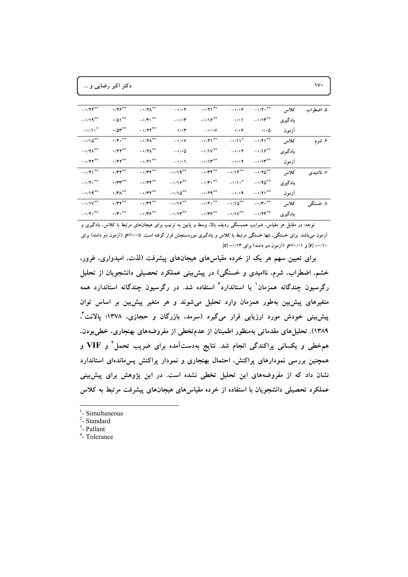دکتر اکبر رضایی و ...

| ۵. اضطراب  | كلاس    | $-1/7 \cdot 10^{-4}$            | $-\cdot/\cdot$ $\circ$     | $-1/71$ <sup>**</sup>                        | $-\cdot/\cdot$ ۴      | $-1$ $\gamma \Lambda^{\ast \ast}$                                                                | $\cdot$ /۴۶**                                     | $-1/77$ <sup>**</sup>                    |
|------------|---------|---------------------------------|----------------------------|----------------------------------------------|-----------------------|--------------------------------------------------------------------------------------------------|---------------------------------------------------|------------------------------------------|
|            | يادگيري | $-1/\Upsilon^{**}$              | $\cdot/\cdot$ \            | $-1/\sqrt{2}$                                | $-\cdot/\cdot \tau$   | $ \cdot$ /<br>$\hspace{-.05cm}\raisebox{1.5pt}{\text{\circle*{1.5}}}\hspace*{-.05cm}\bullet$ *** | $\cdot$ /01**                                     | $-1/19$ <sup>**</sup>                    |
|            | أزمون   | $\cdot/\cdot$ $\circ$           | $\cdot/\cdot$ ۶            | $ \cdot$ / $\cdot$ V                         | $\cdot/\cdot$ ۳       | $-1$ / $\gamma$ $\gamma$ <sup>**</sup>                                                           | $\cdot$ /0 $r^{\ast\ast}$                         | $-\cdot/\sqrt{2}$                        |
| ۶. شرم     | كلاس    | $-1/71$ <sup>**</sup>           | $-\cdot/11$ <sup>*</sup>   | $-1/71$ <sup>**</sup>                        | $-\cdot/\cdot V$      | $ \cdot$ / $\uparrow \wedge$ <sup>**</sup>                                                       | $\cdot$ /۴ $\cdot$ <sup>**</sup>                  | $-110$ <sup>**</sup>                     |
|            | يادگيري | $-1/\sqrt{2}$                   | $-\cdot/\cdot$ $\Upsilon$  | $-1.1V^{\# \#}$                              | $-\cdot/\cdot \Delta$ | $ \cdot$ / $\uparrow \wedge$ <sup>**</sup>                                                       | $\cdot$ /۴۲ <sup>**</sup>                         | $-$<br>^/Y^ $\hspace{-.03in}^{\ast\ast}$ |
|            | ازمون   | $-1/\Upsilon^{**}$              | $ \cdot$ / $\cdot$ $\cdot$ | $-1$                                         | $-\cdot/ \cdot \cdot$ | $-1/71$ <sup>**</sup>                                                                            | $\cdot$ /۴۲ <sup>**</sup>                         | $-177$ **                                |
| ۷. ناامیدی | كلاس    | $-170$                          | $-1$                       | $-1/\Upsilon \Upsilon^{\# \oplus \oplus}$    | $-1/19$ <sup>**</sup> | $ \gamma\gamma^{**}$                                                                             | $\cdot$ /۳۲ <sup>**</sup>                         | $-1/71$ <sup>**</sup>                    |
|            | يادگيري | $-170$                          | $-\cdot/\sqrt{1+\cdot^*}$  | $- \cdot / \mathbf{Y} \cdot$ $^{\circ\circ}$ | $-1/\sqrt{2}$         | $ \cdot$ /۳۴ <sup>**</sup>                                                                       | $\cdot \pi r$                                     | $-1/7$ . **                              |
|            | أزمون   | $-1/71$ <sup>**</sup>           | $-\cdot/ \cdot 9$          | $-179$                                       | $-\cdot/\sqrt{2}$     | $ \cdot$ /۳۲ <sup>**</sup>                                                                       | $\cdot$ /۳ $\wedge^{\ast\ast}$                    | $-1/19$ <sup>**</sup>                    |
| ۸ خستگی    | كلاس    | $ \cdot$ /<br>۳ $\cdot$ $^{**}$ | $-110$ <sup>**</sup>       | $ \cdot$ / $\mathfrak{r}$ $\cdot$ **         | $-1/\sqrt{2}$         | $- \cdot / \Upsilon \Upsilon^{\oplus \oplus}$                                                    | $\cdot$ /۳۲**                                     | $-1/\mathsf{N}^{**}$                     |
|            | يادگيري | $-1/75$ <sup>**</sup>           | $-1/\mathsf{N}^{\ast\ast}$ | $-1$                                         | $-1$                  | $ \cdot$ /۳۶ <sup>**</sup>                                                                       | $\cdot$ / $\cdot$ $\cdot$ $\cdot$ $\cdot$ $\cdot$ | $-1/7$ . **                              |

توجه: در مقابل هر مقیاس، ضرایب همبستگی ردیف بالا، وسط و پایین به ترتیب برای هیجانهای مرتبط با کلاس، یادگیری و آزمون میLباشد. برای خستگی، تنها خستگی مرتبط با کلاس و یادگیری موردسنجش قرار گرفته است. ۲۰/۰۵/ (آزمون دو دامنه) برای  $|\mathbf{r}| = (1 + \mathbf{r}) \mathbf{r}'$ و  $p < (1 + \mathbf{r}) \mathbf{r}'$  (آزمون دو دامنه) برای ۱۳ $|\mathbf{r}| = (1 + \mathbf{r}) \mathbf{r}'$ 

برای تعیین سهم هر یک از خرده مقیاسهای هیجانهای پیشرفت (لذت، امیدواری، غرور، خشم، اضطراب، شرم، ناامیدی و خستگی) در پیشبینی عملکرد تحصیلی دانشجویان از تحلیل رگرسیون چندگانه همزمان<sup>۱</sup> یا استاندارد<sup>۲</sup> استفاده شد. در رگرسیون چندگانه استاندارد همه متغیرهای پیشبین بهطور همزمان وارد تحلیل میشوند و هر متغیر پیشبین بر اساس توان پیش بینی خودش مورد ارزیابی قرار میگیرد (سرمد. بازرگان و حجازی. ۱۳۷۸؛ پالانت ٌّ، ۱۳۸۹). تحلیل های مقدماتی بهمنظور اطمینان از عدمتخطی از مفروضههای بهنجاری، خطیبودن. همخطی و یکسانی پراکندگی انجام شد. نتایج بهدستآمده برای ضریب تحمل و VIF و همچنین بررسی نمودارهای پراکنش، احتمال بهنجاری و نمودار پراکنش پس،اندهای استاندارد نشان داد که از مفروضههای این تحلیل تخطی نشده است. در این پژوهش برای پیش بینی عملکرد تحصیلی دانشجویان با استفاده از خرده مقیاسهای هیجانهای پیشرفت مرتبط به کلاس

<sup>1</sup>- Simultaneous

 $2$ - Standard

 $3$ - Pallant

<sup>4</sup>-Tolerance

 $\mathbf{v}$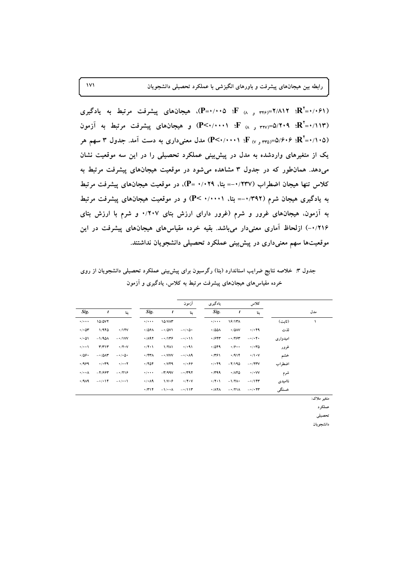**171 ) \*,/( &;+< =;8> % &01+./( -% ,+! -)\*+ 4+% -'%(** 

**=0/061) <sup>2</sup> -+N -% PG ,+! -)\*+ R(P=0/005 \_F (8 346)=2/812 \_R =0/113) <sup>2</sup> )CQ -% PG ,+! -)\*+ (P<0/0001 \_F (8 327)=5/209 \_R** (۲۰۵٪+R'+۱۰۵=(۳۵<sub>۷ و ۲۷</sub>) E: ۱۰۰۱؛P<۰/۰۰۰۱) مدل معنیداری به دست آمد. جدول ۳ سهم هر یک از متغیرهای واردشده به مدل در پیشبینی عملکرد تحصیلی را در این سه موقعیت نشان میدهد. همانطور که در جدول ۳ مشاهده میشود در موقعیت هیجانهای پیشرفت مرتبط به کلاس تنها هیجان اضطراب (۱٬۲۳۷– بتا، ۰/۰۲۹= (P)، در موقعیت هیجانهای پیشرفت مرتبط **PG ,+! -)\*+ +5S (P< 0/0001 R:% =-0/392) I0 )\*+ -+N -% -:% \C ( % I0 0/207 -:% \C ( -( ( U) I0 U -)\*+ R)CQ -% 4 ( ,+! -)\*+ -Z+ FE -+% .#0%& (&65 -Q ]<C( (-0/216** موقعیتها سهم معنیداری در پیشبینی عملکرد تحصیلی دانشجویان نداشتند.

جدول ۳: خلاصه نتایج ضرایب استاندارد (بتا) رگرسیون برای پیش،ینی عملکرد تحصیلی دانشجویان از روی خرده مقیاسهای هیجانهای پیشرفت مرتبط به کلاس، یادگیری و ازمون

|                                   |                                    |                       |                              |                        | أزمون                     | يادگيري                            |                            | كلاس                            |          |     |
|-----------------------------------|------------------------------------|-----------------------|------------------------------|------------------------|---------------------------|------------------------------------|----------------------------|---------------------------------|----------|-----|
| Sig.                              | t                                  | بتا                   | Sig.                         | t                      | بتا                       | Sig.                               | t                          | بتا                             |          | مدل |
| $\cdot$ / $\cdot$ $\cdot$         | 10/077                             |                       | $\cdot$ / $\cdot$ $\cdot$    | <b>10/VAT</b>          |                           | $\cdot$ / $\cdot$ $\cdot$          | 18/111                     |                                 | (ثابت)   |     |
| $\cdot$ / $\cdot$ $\circ$ $\cdot$ | 1/980                              | $\cdot$ /14V          | ۰/۵۶۸                        | $-10V$                 | $-\cdot/\cdot \Delta$     | $\cdot$ /00 $\land$                | $\cdot$ /0 $\land$ V       | 4/199                           | لذت      |     |
| $\cdot/\cdot$ ۵۱                  | $-1/90\lambda$                     | $-\cdot/1VV$          | $\cdot$ /197                 | $-1159$                | $-\cdot/(\cdot)$          | 4/957                              | $-1/994$                   | $-1$                            | اميدوارى |     |
| $\cdot$ / $\cdot$                 | $\mathbf{r}/\mathbf{r}$            | $\cdot$ /۲۰۷          | $\cdot$ /۲۰۱                 | 1/8                    | .7.91                     | .7049                              | $\cdot$ /9 $\cdot$ $\cdot$ | $\cdot$ $\cdot$ ra              | غرور     |     |
| .709.                             | $-1/\Delta\Lambda T$               | $-\cdot/\cdot \Delta$ | ۰/۴۳۸                        | $ \cdot$ / $V$ $V$ $V$ | $-\cdot/\cdot$ $\wedge$ 9 | .7791                              | 414                        | $\cdot/\cdot$ $\cdot$ $\vee$    | خشم      |     |
| .1999                             | 4.14                               | $\cdot/\cdot\cdot$ Y  | .7804                        | $\cdot$ / $VFA$        | ۰٬۰۶۶                     | 4.14                               | $-1/190$                   | $ \cdot$ / $\tau$ $\tau$ $\vee$ | اضطراب   |     |
| $\cdot/\cdot\cdot$ $\wedge$       | $-1994$                            | $-1719$               | $\cdot$ / $\cdot$ $\cdot$    | $-\mathbf{r}/99V$      | $-1/447$                  | 4799                               | $\cdot$ /140               | $\cdot/\cdot$ YV                | شرم      |     |
| 4/9A9                             | $-1$ $\cdot$ $\uparrow$ $\uparrow$ | $-\cdot/\cdot\cdot$   | $\cdot$ / $\cdot$ $\wedge$ 9 | $1/V \cdot F$          | $\cdot$ /۲ $\cdot$ V      | $\cdot$ /۲۰۱                       | $-1/\Upsilon\Lambda$       | $-115$                          | نااميدي  |     |
|                                   |                                    |                       | ۰/۳۱۴                        | $-1/4.1$               | $-1$                      | $\cdot$ / $\wedge$ $\vee$ $\wedge$ | $-171$                     | $ \cdot$ $\cdot$ $\tau\tau$     | خستگى    |     |

**:Ä[ +9:**

عملکر د .<br>تحصيل<sub>ي</sub>

دانشجويان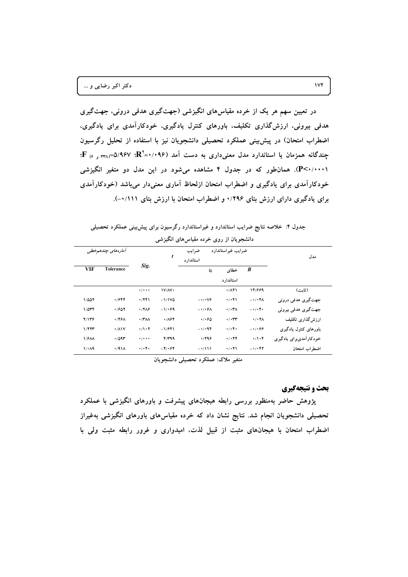در تعیین سهم هر یک از خرده مقیاسهای انگیزشی (جهتگیری هدفی درونی، جهتگیری هدفی بیرونی، ارزش گذاری تکلیف، باورهای کنترل یادگیری، خودکارآمدی برای یادگیری، اضطراب امتحان) در پیش بینی عملکرد تحصیلی دانشجویان نیز با استفاده از تحلیل رگرسیون چندگانه همزمان یا استاندارد مدل معنیداری به دست آمد (۰۹۶٪+R'=۰/۹۶۷. <sub>۳۲۸</sub> و ۴ F؛ (P<۰/۰۰۰۱). همان طور که در جدول ۴ مشاهده می شود در این مدل دو متغیر انگیزشی خودکارآمدی برای یادگیری و اضطراب امتحان ازلحاظ آماری معنیدار میباشد (خودکارآمدی برای یادگیری دارای ارزش بتای ۱/۲۹۶ و اضطراب امتحان با ارزش بتای ۰/۱۱۱-).

جدول ۴: خلاصه نتایج ضرایب استاندارد و غیراستاندارد رگرسیون برای پیش بینی عملکرد تحصیلی

|              | أمارەھاي چندھىمخطى |                               | ضرایب غیراستاندارد<br>ضرايب<br>t |                        |                                |                                          | مدل                    |
|--------------|--------------------|-------------------------------|----------------------------------|------------------------|--------------------------------|------------------------------------------|------------------------|
|              |                    | Sig.                          |                                  | استاندار د             |                                |                                          |                        |
| <b>VIF</b>   | <b>Tolerance</b>   |                               |                                  | بتا                    | خطاى                           | $\boldsymbol{B}$                         |                        |
|              |                    |                               |                                  |                        | استاندار د                     |                                          |                        |
|              |                    | $\cdot$ / $\cdot$ $\cdot$     | V/N                              |                        | .711                           | 14/889                                   | (ٹانت)                 |
| 1/007        | ۰/۶۴۴              | .7791                         | $-1/1VQ$                         | $-\cdot/\cdot\sqrt{2}$ | $\cdot/\cdot$ ۴۱               | $-\cdot/\cdot$ .                         | جهتگیری هدفی درونی     |
| $1/0$ ۳۴     | .7607              | $\cdot$ /٢٨۶                  | $-1/49$                          | $-\cdot/\cdot$ ۶۸      | $\cdot/\cdot\tau$              | $-1$ . $+1$                              | جهت گیری هدفی بیرونی   |
| 7/1٣۶        | .792               | $\cdot$ /۳۸۸                  | .784                             | 4.60                   | $\cdot/\cdot$ ۳۳               | $\cdot$ / $\cdot$ YA                     | ارزش گذاری تکلیف       |
| 1/777        | $\cdot$ / $\wedge$ | $\cdot/\cdot$ $\cdot$ $\cdot$ | $-1/941$                         | $-1/194$               | $\cdot/\cdot$ ۴۰               | $-1.699$                                 | باورهای کنترل یادگیری  |
| <b>1/۶۸۸</b> | $\cdot$ /09٣       | $\cdot$ / $\cdot$ $\cdot$     | $Y/Y$ 99                         | .799                   | $\cdot/\cdot$ YY               | $\cdot/\cdot$ ۴                          | خودکارآمدیبرای یادگیری |
| 1/44         | 4/91A              | $\cdot/\cdot$ ۴۰              | $-Y \cdot 54$                    | $-\cdot/111$           | $\cdot$ / $\cdot$ $\uparrow$ \ | $ \cdot$ / $\cdot$ $\uparrow$ $\uparrow$ | اضطراب امتحان          |

دانشجویان از روی خرده مقیاسهای انگیزشی

متغیر ملاک: عملکرد تحصیلی دانشجویان

# بحث و نتیجهگیری

پژوهش حاضر بهمنظور بررسی رابطه هیجانهای پیشرفت و باورهای انگیزشی با عملکرد تحصیلی دانشجویان انجام شد. نتایج نشان داد که خرده مقیاسهای باورهای انگیزشی بهغیراز اضطراب امتحان با هیجانهای مثبت از قبیل لذت، امیدواری و غرور رابطه مثبت ولی با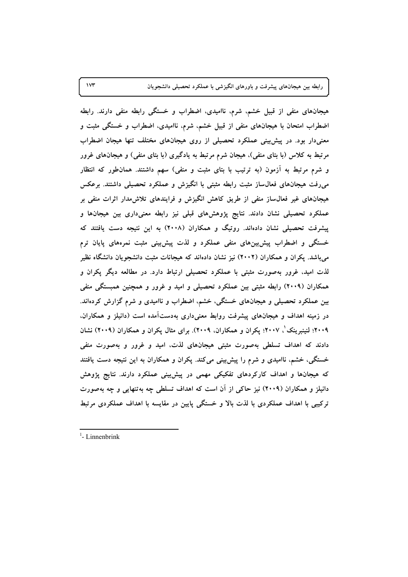**173 ) \*,/( &;+< =;8> % &01+./( -% ,+! -)\*+ 4+% -'%(** 

هیجانهای منفی از قبیل خشم، شرم، ناامیدی، اضطراب و خستگی رابطه منفی دارند. رابطه اضطراب امتحان با هیجانهای منفی از قبیل خشم، شرم، ناامیدی، اضطراب و خستگی مثبت و معنیدار بود. در پیش<sub>ن</sub>ینی عملکرد تحصیلی از روی هیجانهای مختلف تنها هیجان اضطراب مرتبط به کلاس (با بتای منفی). هیجان شرم مرتبط به یادگیری (با بتای منفی) و هیجانهای غرور و شرم مرتبط به ازمون (به ترتیب با بتای مثبت و منفی) سهم داشتند. همانطور که انتظار میرفت هیجانهای فعال $باز مثبت رابطه مثبتی با انگیزش و عملکرد تحصیلی داشتند. برعکس$ هیجانهای غیر فعال $باز منفی از طریق کاهش انگیزش و فرایندهای تلاش $\mu$ مدار اثرات منفی بر$ عملکرد تحصیلی نشان دادند. نتایج پژوهشهای قبلی نیز رابطه معنیداری بین هیجانها و پیشرفت تحصیلی نشان دادهاند. روتیگ و همکاران (۲۰۰۸) به این نتیجه دست یافتند که خستگی و اضطراب پیش بین های منفی عملکرد و لذت پیش بینی مثبت نمرههای پایان ترم میباشد. پکران و همکاران (۲۰۰۲) نیز نشان دادهاند که هیجانات مثبت دانشجویان دانشگاه نظیر لذت امید، غرور بهصورت مثبتی با عملکرد تحصیلی ارتباط دارد. در مطالعه دیگر پکران و همکاران (۲۰۰۹) رابطه مثبتی بین عملکرد تحصیلی و امید و غرور و همچنین همبستگی منفی **.#/(FH \ (1N I0 -#+(/ L('( R2,E R&.:JE -)\*+ &;+< =;8> 4+%** در زمینه اهداف و هیجانهای پیشرفت روابط معنیداری بهدست۱مده است (دانیلز و همکاران. **h6 G6+6 \_2009 <sup>1</sup> ),/ (2009) )( =8 )(=! bX -(% .(2009 R)( =8 )(=! \_2007 R** دادند که اهداف تسلطی بهصورت مثبتی هیجانهای لذت، امید و غرور و بهصورت منفی خستگی، خشم، ناامیدی و شرم را پیش بینی میکند. پکران و همکاران به این نتیجه دست یافتند که هیجانها و اهداف کارکردهای تفکیکی مهمی در پیشبینی عملکرد دارند. نتایج پژوهش دانیلز و همکاران (۲۰۰۹) نیز حاکی از ان است که اهداف تسلطی چه بهتنهایی و چه بهصورت ترکیبی با اهداف عملکردی با لذت بالا و خستگی پایین در مقایسه با اهداف عملکردی مرتبط

<sup>&</sup>lt;sup>1</sup>- Linnenbrink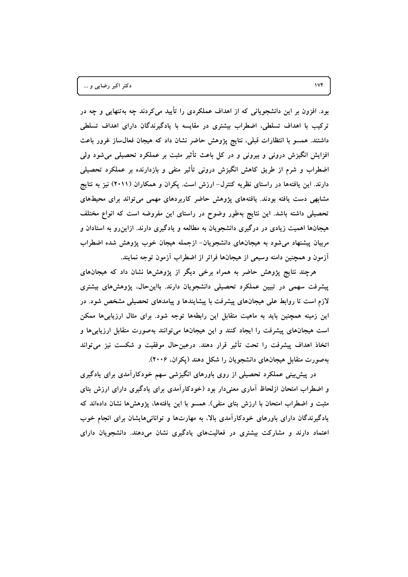بود. افزون بر این دانشجویانی که از اهداف عملکردی را تأیید می کردند چه بهتنهایی و چه در ترکیب با اهداف تسلطی، اضطراب بیشتری در مقایسه با یادگیرندگان دارای اهداف تسلطی داشتند. همسو با انتظارات قبلی، نتایج پژوهش حاضر نشان داد که هیجان فعال $ساز غرور باعث$ افزایش انگیزش درونی و بیرونی و در کل باعث تأثیر مثبت بر عملکرد تحصیلی میشود ولی اضطراب و شرم از طریق کاهش انگیزش درونی تأثیر منفی و بازدارنده بر عملکرد تحصیلی دارند. این یافتهها در راستای نظریه کنترل- ارزش است. پکران و همکاران (۲۰۱۱) نیز به نتایج مشابهی دست یافته بودند. یافتههای پژوهش حاضر کاربردهای مهمی می تواند برای محیطهای تحصیلی داشته باشد. این نتایج بهطور وضوح در راستای این مفروضه است که انواع مختلف هیجانها اهمیت زیادی در درگیری دانشجویان به مطالعه و یادگیری دارند. ازاین٫و به استادان و مربیان پیشنهاد میشود به هیجانهای دانشجویان- ازجمله هیجان خوب پژوهش شده اضطراب أزمون و همچنین دامنه وسیعی از هیجانها فراتر از اضطراب أزمون توجه نمایند.

هرچند نتایج پژوهش حاضر به همراه برخی دیگر از پژوهشها نشان داد که هیجانهای پیشرفت سهمی در تبیین عملکرد تحصیلی دانشجویان دارند. بااینحال، پژوهشهای بیشتری لازم است تا روابط علی هیجانهای پیشرفت با پیشایندها و پیامدهای تحصیلی مشخص شود. در این زمینه همچنین باید به ماهیت متقابل این رابطهها توجه شود. برای مثال ارزیابیها ممکن است هیجانهای پیشرفت را ایجاد کنند و این هیجانها میتوانند بهصورت متقابل ارزیابیها و اتخاذ اهداف پیشرفت را تحت تأثیر قرار دهند. درعینحال موفقیت و شکست نیز می¤واند بهصورت متقابل هیجانهای دانشجویان را شکل دهند (یکران، ۲۰۰۶).

در پیشبینی عملکرد تحصیلی از روی باورهای انگیزشی سهم خودکارآمدی برای یادگیری و اضطراب امتحان ازلحاظ آماری معنیدار بود (خودکارآمدی برای یادگیری دارای ارزش بتای مثبت و اضطراب امتحان با ارزش بتای منفی). همسو با این یافتهها، پژوهشها نشان دادهاند که یادگیرندگان دارای باورهای خودکارآمدی بالا، به مهارتها و توانائیهایشان برای انجام خوب اعتماد دارند و مشارکت بیشتری در فعالیتهای یادگیری نشان میدهند. دانشجویان دارای

 $\mathsf{IVf}$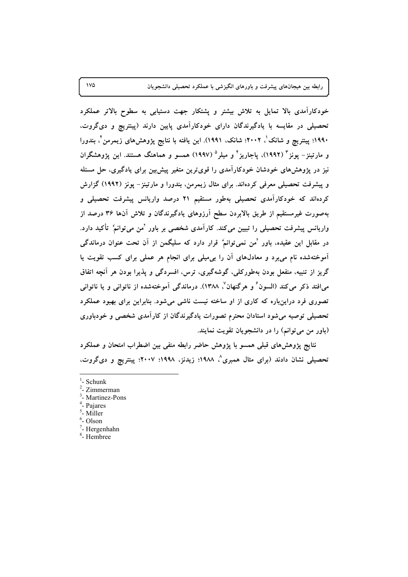خودکارآمدی بالا تمایل به تلاش بیشتر و پشتکار جهت دستیابی به سطوح بالاتر عملکرد تحصیلی در مقایسه با یادگیرندگان دارای خودکارآمدی پایین دارند (پینتریچ و دیگروت، ۱۹۹۰؛ پینتریچ و شانک'، ۲۰۰۲؛ شانک، ۱۹۹۱). این یافته با نتایج پژوهشهای زیمرمن<sup>۲</sup>، بندورا و مارتینز – یونز " (۱۹۹۲)، یاجاریز <sup>۶</sup> و میلر <sup>۵</sup> (۱۹۹۷) همسو و هماهنگ هستند. این یژوهشگران نیز در پژوهشهای خودشان خودکارآمدی را قویترین متغیر پیش بین برای یادگیری، حل مسئله و پیشرفت تحصیلی معرفی کردهاند. برای مثال زیمرمن، بندورا و مارتینز – یونز (۱۹۹۲) گزارش کردهاند که خودکارآمدی تحصیلی بهطور مستقیم ۲۱ درصد واریانس پیشرفت تحصیلی و بهصورت غیرمستقیم از طریق بالابردن سطح آرزوهای یادگیرندگان و تلاش آنها ۳۶ درصد از واریانس پیشرفت تحصیلی را تبیین میکند. کارآمدی شخصی بر باور 'من می توانم' تأکید دارد. در مقابل این عقیده، باور 'من نمیتوانم' قرار دارد که سلیگمن از آن تحت عنوان درماندگی آموختهشده نام می برد و معادلهای آن را بی میلی برای انجام هر عملی برای کسب تقویت یا گریز از تنبیه، منفعل بودن بهطورکلی، گوشهگیری، ترس، افسردگی و پذیرا بودن هر آنچه اتفاق م افتد ذکر می کند (السون ٔ و هرگنهان ٔ ۱۳۸۸). درماندگی آموختهشده از ناتوانی و یا ناتوانی تصوری فرد دراینباره که کاری از او ساخته نیست ناشی میشود. بنابراین برای بهبود عملکرد تحصیلی توصیه میشود استادان محترم تصورات یادگیرندگان از کارآمدی شخصی و خودباوری (باور من می توانم) را در دانشجویان تقویت نمایند.

نتایج پژوهشهای قبلی همسو با پژوهش حاضر رابطه منفی بین اضطراب امتحان و عملکرد تحصیلی نشان دادند (برای مثال همبری^، ۱۹۸۸؛ زیدنز، ۱۹۹۸؛ ۲۰۰۷؛ پینتریچ و دیگروت،

- <sup>3</sup>- Martinez-Pons
- <sup>4</sup>- Pajares
- $<sup>5</sup>$  Miller</sup>
- $6$ -Olson
- $7$  Hergenhahn
- <sup>8</sup>-Hembree

 $\sqrt{0}$ 

 $1$ - Schunk

 $2$ - Zimmerman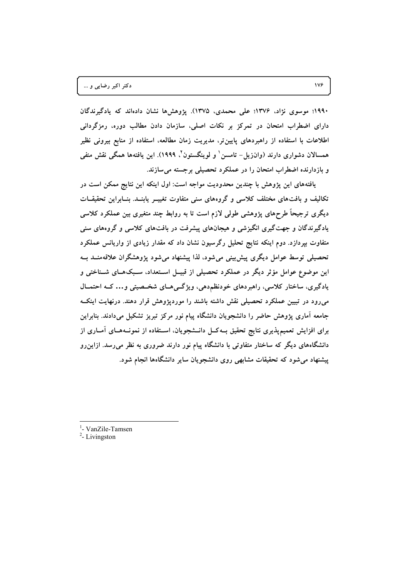۱۹۹۰؛ موسوی نژاد، ۱۳۷۶؛ علی محمدی، ۱۳۷۵). یژوهشها نشان دادهاند که یادگیرندگان دارای اضطراب امتحان در تمرکز بر نکات اصلی، سازمان دادن مطالب دوره، رمزگردانی اطلاعات با استفاده از راهبردهای پایینتر، مدیریت زمان مطالعه، استفاده از منابع بیرونی نظیر همسالان دشواری دارند (وانزیل– تامسن ٰ و لوینگستون ْ، ۱۹۹۹). این یافتهها همگی نقش منفی و بازدارنده اضطراب امتحان را در عملکرد تحصیلی برجسته می سازند.

یافتههای این پژوهش با چندین محدودیت مواجه است: اول اینکه این نتایج ممکن است در تکالیف و بافتهای مختلف کلاسی و گروههای سنی متفاوت تغییــر پابنــد. بنــابراین تحقیقــات دیگری ترجیحاً طرحهای پژوهشی طولی لازم است تا به روابط چند متغیری بین عملکرد کلاسی یادگیرندگان و جهتگیری انگیزشی و هیجانهای پیشرفت در بافتهای کلاسی و گروههای سنی متفاوت بپردازد. دوم اینکه نتایج تحلیل رگرسیون نشان داد که مقدار زیادی از واریانس عملکرد تحصیلی توسط عوامل دیگری پیش بینی می شود، لذا پیشنهاد می شود پژوهشگران علاقهمنــد بــه این موضوع عوامل مؤثر دیگر در عملکرد تحصیلی از قبیــل اســتعداد، ســبکهــای شــناختی و یادگیری، ساختار کلاسی، راهبردهای خودنظم‹هی، ویژگیAهای شخـصیتی و… کـه احتمـال میرود در تبیین عملکرد تحصیلی نقش داشته باشند را موردپژوهش قرار دهند. درنهایت اینک جامعه آماری پژوهش حاضر را دانشجویان دانشگاه پیام نور مرکز تبریز تشکیل میدادند. بنابراین برای افزایش تعمیمپذیری نتایج تحقیق بــهکــل دانــشجویان، اســتفاده از نمونــههــای آمــاری از دانشگاههای دیگر که ساختار متفاوتی با دانشگاه پیام نور دارند ضروری به نظر میرسد. ازاین رو پیشنهاد می شود که تحقیقات مشابهی روی دانشجویان سایر دانشگاهها انجام شود.

<sup>1</sup>- VanZile-Tamsen

 $2$ - Livingston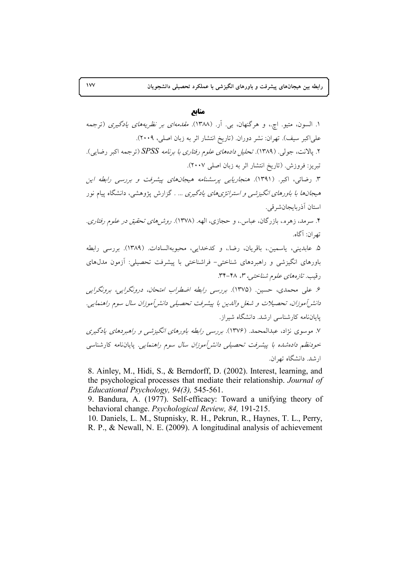# منابع

۱. السون، متيو. اچ.، و هرگنهان، بي. آر. (۱۳۸۸). *مقدمهای بر نظریههای یادگیری* (ترجمه علیاکبر سیف). تهران: نشر دوران. (تاریخ انتشار اثر به زبان اصلی، ۲۰۰۹). ۲. يالانت، جولي. (١٣٨٩). *تحليل دادههاي علوم رفتاري با برنامه SPSS* (ترجمه اكبر رضايي). تبريز: فروزش. (تاريخ انتشار اثر به زبان اصلي ٢٠٠٧). ۳. رضائی، اکبر. (۱۳۹۱). *هنجاریابی پرسشنامه هیجانهای پیشرفت و بررسی رابطه این* هیج*انها با باورهای انگیزشم و استراتژی های یادگیری … .* گزارش پژوهشی، دانشگاه پیام نور استان آذربايجانشرقي. ۴. سرمد، زهره.، بازرگان، عباس.، و حجازی، الهه. (۱۳۷۸). ر*وش های تحقیق در علوم رفتاری*. تھ ان: آگاه. ۵. عابديني، ياسمين.، باقريان، رضا.، وكدخدايي، محبوبهالسادات. (١٣٨٩). بررسي رابطه باورهای انگیزشی و راهبردهای شناختی- فراشناختی با پیشرفت تحصیلی: آزمون مدلهای رقيب. تازەھاي علوم شناختى، ٣، ٢٨-٣٩. ۶. علی محمدی، حسین. (۱۳۷۵). بررسی رابطه اضطراب امتحان، درونگرایی، برونگرایی دانش آموزان، تحصیلات و شغل والدین با پیشرفت تحصیلی دانش آموزان سال سوم راهنمایی. یایاننامه کارشناسی ارشد. دانشگاه شیراز. ۷. موسوی نژاد، عبدالمحمد. (۱۳۷۶). بررسی رابطه باورهای انگیزشی و راهبردهای یادگیری خودنظم د*ادهشده با پیشرفت تحصیلی دانش آموزان سال سوم راهنمایی.* پایاننامه کارشناسی ارشد. دانشگاه تهران.

8. Ainley, M., Hidi, S., & Berndorff, D. (2002). Interest, learning, and the psychological processes that mediate their relationship. Journal of Educational Psychology, 94(3), 545-561.

9. Bandura, A. (1977). Self-efficacy: Toward a unifying theory of behavioral change. *Psychological Review*, 84, 191-215.

10. Daniels, L. M., Stupnisky, R. H., Pekrun, R., Haynes, T. L., Perry, R. P., & Newall, N. E. (2009). A longitudinal analysis of achievement

 $\mathsf{v}\mathsf{v}$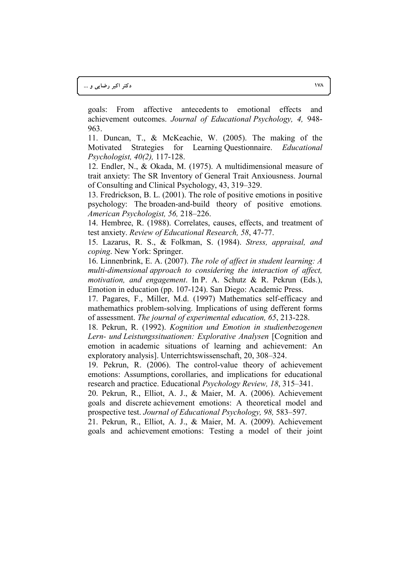goals: From affective antecedents to emotional effects and achievement outcomes. *Journal of Educational Psychology, 4,* 948- 963.

11. Duncan, T., & McKeachie, W. (2005). The making of the Motivated Strategies for Learning Questionnaire. *Educational Psychologist, 40(2),* 117-128.

12. Endler, N., & Okada, M. (1975). A multidimensional measure of trait anxiety: The SR Inventory of General Trait Anxiousness. Journal of Consulting and Clinical Psychology, 43, 319–329.

13. Fredrickson, B. L. (2001). The role of positive emotions in positive psychology: The broaden-and-build theory of positive emotions*. American Psychologist, 56,* 218–226.

14. Hembree, R. (1988). Correlates, causes, effects, and treatment of test anxiety. *Review of Educational Research, 58*, 47-77.

15. Lazarus, R. S., & Folkman, S. (1984). *Stress, appraisal, and coping*. New York: Springer.

16. Linnenbrink, E. A. (2007). *The role of affect in student learning: A multi-dimensional approach to considering the interaction of affect, motivation, and engagement*. In P. A. Schutz & R. Pekrun (Eds.), Emotion in education (pp. 107-124). San Diego: Academic Press.

17. Pagares, F., Miller, M.d. (1997) Mathematics self-efficacy and mathemathics problem-solving. Implications of using defferent forms of assessment. *The journal of experimental education, 65*, 213-228.

18. Pekrun, R. (1992). *Kognition und Emotion in studienbezogenen Lern- und Leistungssituationen: Explorative Analysen* [Cognition and emotion in academic situations of learning and achievement: An exploratory analysis]. Unterrichtswissenschaft, 20, 308–324.

19. Pekrun, R. (2006). The control-value theory of achievement emotions: Assumptions, corollaries, and implications for educational research and practice. Educational *Psychology Review, 18*, 315–341.

20. Pekrun, R., Elliot, A. J., & Maier, M. A. (2006). Achievement goals and discrete achievement emotions: A theoretical model and prospective test. *Journal of Educational Psychology, 98,* 583–597.

21. Pekrun, R., Elliot, A. J., & Maier, M. A. (2009). Achievement goals and achievement emotions: Testing a model of their joint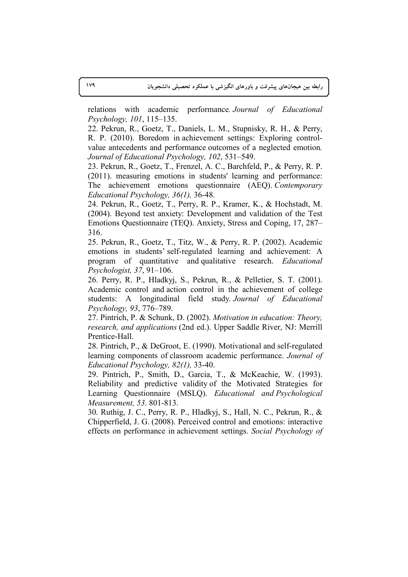relations with academic performance*. Journal of Educational Psychology, 101*, 115–135.

22. Pekrun, R., Goetz, T., Daniels, L. M., Stupnisky, R. H., & Perry, R. P. (2010). Boredom in achievement settings: Exploring controlvalue antecedents and performance outcomes of a neglected emotion*. Journal of Educational Psychology, 102*, 531–549.

23. Pekrun, R., Goetz, T., Frenzel, A. C., Barchfeld, P., & Perry, R. P. (2011). measuring emotions in students' learning and performance: The achievement emotions questionnaire (AEQ). *Contemporary Educational Psychology, 36(1),* 36-48.

24. Pekrun, R., Goetz, T., Perry, R. P., Kramer, K., & Hochstadt, M. (2004). Beyond test anxiety: Development and validation of the Test Emotions Questionnaire (TEQ). Anxiety, Stress and Coping, 17, 287– 316.

25. Pekrun, R., Goetz, T., Titz, W., & Perry, R. P. (2002). Academic emotions in students' self-regulated learning and achievement: A program of quantitative and qualitative research. *Educational Psychologist, 37*, 91–106.

26. Perry, R. P., Hladkyj, S., Pekrun, R., & Pelletier, S. T. (2001). Academic control and action control in the achievement of college students: A longitudinal field study*. Journal of Educational Psychology, 93*, 776–789.

27. Pintrich, P. & Schunk, D. (2002). *Motivation in education: Theory, research, and applications* (2nd ed.). Upper Saddle River, NJ: Merrill Prentice-Hall.

28. Pintrich, P., & DeGroot, E. (1990). Motivational and self-regulated learning components of classroom academic performance. *Journal of Educational Psychology, 82(1),* 33-40.

29. Pintrich, P., Smith, D., Garcia, T., & McKeachie, W. (1993). Reliability and predictive validity of the Motivated Strategies for Learning Questionnaire (MSLQ). *Educational and Psychological Measurement, 53*. 801-813.

30. Ruthig, J. C., Perry, R. P., Hladkyj, S., Hall, N. C., Pekrun, R., & Chipperfield, J. G. (2008). Perceived control and emotions: interactive effects on performance in achievement settings. *Social Psychology of*